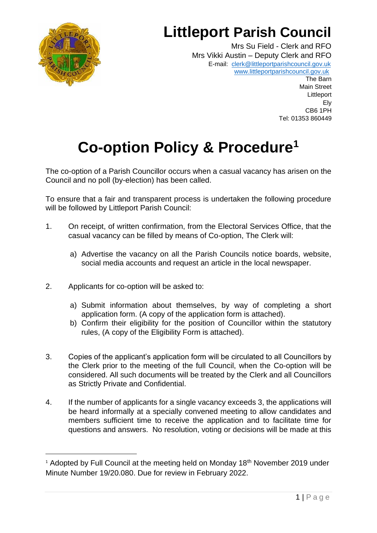

## **Littleport Parish Council**

Mrs Su Field - Clerk and RFO Mrs Vikki Austin – Deputy Clerk and RFO E-mail: [clerk@littleportparishcouncil.gov.uk](mailto:clerk@littleportparishcouncil.gov.uk) www.littleportparishcouncil.gov.u[k](http://www.ststepheninbrannel-pc.org.uk/)

The Barn Main Street **Littleport** Ely CB6 1PH Tel: 01353 860449

## **Co-option Policy & Procedure<sup>1</sup>**

The co-option of a Parish Councillor occurs when a casual vacancy has arisen on the Council and no poll (by-election) has been called.

To ensure that a fair and transparent process is undertaken the following procedure will be followed by Littleport Parish Council:

- 1. On receipt, of written confirmation, from the Electoral Services Office, that the casual vacancy can be filled by means of Co-option, The Clerk will:
	- a) Advertise the vacancy on all the Parish Councils notice boards, website, social media accounts and request an article in the local newspaper.
- 2. Applicants for co-option will be asked to:
	- a) Submit information about themselves, by way of completing a short application form. (A copy of the application form is attached).
	- b) Confirm their eligibility for the position of Councillor within the statutory rules, (A copy of the Eligibility Form is attached).
- 3. Copies of the applicant's application form will be circulated to all Councillors by the Clerk prior to the meeting of the full Council, when the Co-option will be considered. All such documents will be treated by the Clerk and all Councillors as Strictly Private and Confidential.
- 4. If the number of applicants for a single vacancy exceeds 3, the applications will be heard informally at a specially convened meeting to allow candidates and members sufficient time to receive the application and to facilitate time for questions and answers. No resolution, voting or decisions will be made at this

<sup>&</sup>lt;sup>1</sup> Adopted by Full Council at the meeting held on Monday 18<sup>th</sup> November 2019 under Minute Number 19/20.080. Due for review in February 2022.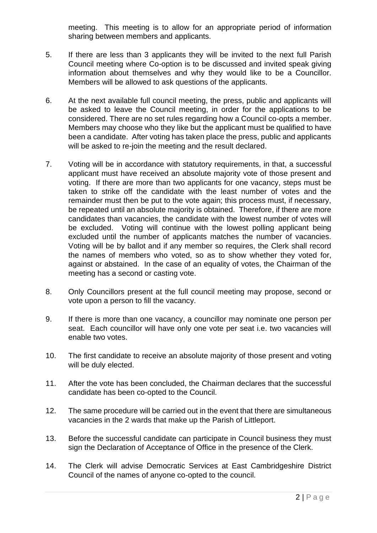meeting. This meeting is to allow for an appropriate period of information sharing between members and applicants.

- 5. If there are less than 3 applicants they will be invited to the next full Parish Council meeting where Co-option is to be discussed and invited speak giving information about themselves and why they would like to be a Councillor. Members will be allowed to ask questions of the applicants.
- 6. At the next available full council meeting, the press, public and applicants will be asked to leave the Council meeting, in order for the applications to be considered. There are no set rules regarding how a Council co-opts a member. Members may choose who they like but the applicant must be qualified to have been a candidate. After voting has taken place the press, public and applicants will be asked to re-join the meeting and the result declared.
- 7. Voting will be in accordance with statutory requirements, in that, a successful applicant must have received an absolute majority vote of those present and voting. If there are more than two applicants for one vacancy, steps must be taken to strike off the candidate with the least number of votes and the remainder must then be put to the vote again; this process must, if necessary, be repeated until an absolute majority is obtained. Therefore, if there are more candidates than vacancies, the candidate with the lowest number of votes will be excluded. Voting will continue with the lowest polling applicant being excluded until the number of applicants matches the number of vacancies. Voting will be by ballot and if any member so requires, the Clerk shall record the names of members who voted, so as to show whether they voted for, against or abstained. In the case of an equality of votes, the Chairman of the meeting has a second or casting vote.
- 8. Only Councillors present at the full council meeting may propose, second or vote upon a person to fill the vacancy.
- 9. If there is more than one vacancy, a councillor may nominate one person per seat. Each councillor will have only one vote per seat i.e. two vacancies will enable two votes.
- 10. The first candidate to receive an absolute majority of those present and voting will be duly elected.
- 11. After the vote has been concluded, the Chairman declares that the successful candidate has been co-opted to the Council.
- 12. The same procedure will be carried out in the event that there are simultaneous vacancies in the 2 wards that make up the Parish of Littleport.
- 13. Before the successful candidate can participate in Council business they must sign the Declaration of Acceptance of Office in the presence of the Clerk.
- 14. The Clerk will advise Democratic Services at East Cambridgeshire District Council of the names of anyone co-opted to the council.